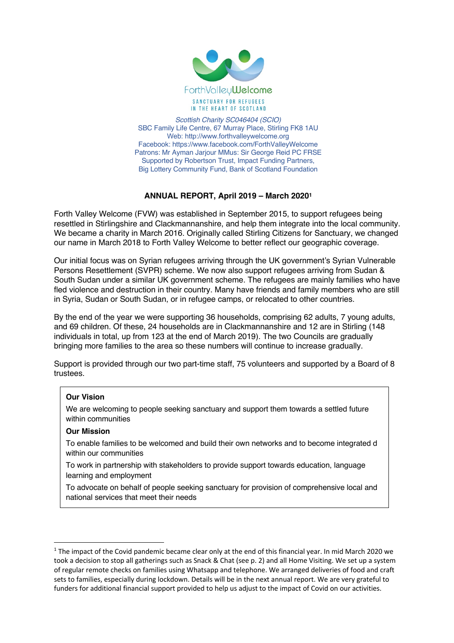

*Scottish Charity SC046404 (SCIO)* SBC Family Life Centre, 67 Murray Place, Stirling FK8 1AU Web: http://www.forthvalleywelcome.org Facebook: https://www.facebook.com/ForthValleyWelcome Patrons: Mr Ayman Jarjour MMus: Sir George Reid PC FRSE Supported by Robertson Trust, Impact Funding Partners, Big Lottery Community Fund, Bank of Scotland Foundation

# **ANNUAL REPORT, April 2019 – March 20201**

Forth Valley Welcome (FVW) was established in September 2015, to support refugees being resettled in Stirlingshire and Clackmannanshire, and help them integrate into the local community. We became a charity in March 2016. Originally called Stirling Citizens for Sanctuary, we changed our name in March 2018 to Forth Valley Welcome to better reflect our geographic coverage.

Our initial focus was on Syrian refugees arriving through the UK government's Syrian Vulnerable Persons Resettlement (SVPR) scheme. We now also support refugees arriving from Sudan & South Sudan under a similar UK government scheme. The refugees are mainly families who have fled violence and destruction in their country. Many have friends and family members who are still in Syria, Sudan or South Sudan, or in refugee camps, or relocated to other countries.

By the end of the year we were supporting 36 households, comprising 62 adults, 7 young adults, and 69 children. Of these, 24 households are in Clackmannanshire and 12 are in Stirling (148 individuals in total, up from 123 at the end of March 2019). The two Councils are gradually bringing more families to the area so these numbers will continue to increase gradually.

Support is provided through our two part-time staff, 75 volunteers and supported by a Board of 8 trustees.

# **Our Vision**

We are welcoming to people seeking sanctuary and support them towards a settled future within communities

### **Our Mission**

To enable families to be welcomed and build their own networks and to become integrated d within our communities

To work in partnership with stakeholders to provide support towards education, language learning and employment

To advocate on behalf of people seeking sanctuary for provision of comprehensive local and national services that meet their needs

 $1$  The impact of the Covid pandemic became clear only at the end of this financial year. In mid March 2020 we took a decision to stop all gatherings such as Snack & Chat (see p. 2) and all Home Visiting. We set up a system of regular remote checks on families using Whatsapp and telephone. We arranged deliveries of food and craft sets to families, especially during lockdown. Details will be in the next annual report. We are very grateful to funders for additional financial support provided to help us adjust to the impact of Covid on our activities.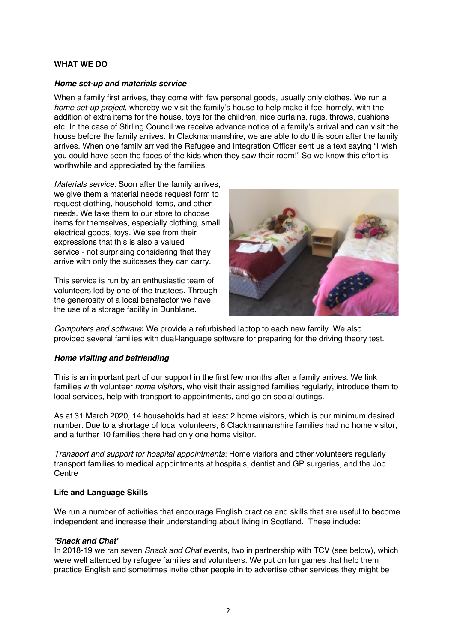## **WHAT WE DO**

#### *Home set-up and materials service*

When a family first arrives, they come with few personal goods, usually only clothes. We run a *home set-up project*, whereby we visit the family's house to help make it feel homely, with the addition of extra items for the house, toys for the children, nice curtains, rugs, throws, cushions etc. In the case of Stirling Council we receive advance notice of a family's arrival and can visit the house before the family arrives. In Clackmannanshire, we are able to do this soon after the family arrives. When one family arrived the Refugee and Integration Officer sent us a text saying "I wish you could have seen the faces of the kids when they saw their room!" So we know this effort is worthwhile and appreciated by the families.

*Materials service:* Soon after the family arrives, we give them a material needs request form to request clothing, household items, and other needs. We take them to our store to choose items for themselves, especially clothing, small electrical goods, toys. We see from their expressions that this is also a valued service - not surprising considering that they arrive with only the suitcases they can carry.

This service is run by an enthusiastic team of volunteers led by one of the trustees. Through the generosity of a local benefactor we have the use of a storage facility in Dunblane.



*Computers and software***:** We provide a refurbished laptop to each new family. We also provided several families with dual-language software for preparing for the driving theory test.

### *Home visiting and befriending*

This is an important part of our support in the first few months after a family arrives. We link families with volunteer *home visitors*, who visit their assigned families regularly, introduce them to local services, help with transport to appointments, and go on social outings.

As at 31 March 2020, 14 households had at least 2 home visitors, which is our minimum desired number. Due to a shortage of local volunteers, 6 Clackmannanshire families had no home visitor, and a further 10 families there had only one home visitor.

*Transport and support for hospital appointments:* Home visitors and other volunteers regularly transport families to medical appointments at hospitals, dentist and GP surgeries, and the Job **Centre** 

#### **Life and Language Skills**

We run a number of activities that encourage English practice and skills that are useful to become independent and increase their understanding about living in Scotland. These include:

### *'Snack and Chat'*

In 2018-19 we ran seven *Snack and Chat* events, two in partnership with TCV (see below), which were well attended by refugee families and volunteers. We put on fun games that help them practice English and sometimes invite other people in to advertise other services they might be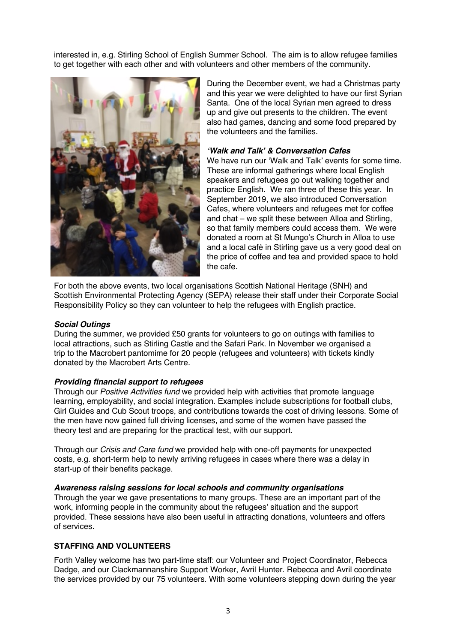interested in, e.g. Stirling School of English Summer School. The aim is to allow refugee families to get together with each other and with volunteers and other members of the community.



During the December event, we had a Christmas party and this year we were delighted to have our first Syrian Santa. One of the local Syrian men agreed to dress up and give out presents to the children. The event also had games, dancing and some food prepared by the volunteers and the families.

## *'Walk and Talk' & Conversation Cafes*

We have run our 'Walk and Talk' events for some time. These are informal gatherings where local English speakers and refugees go out walking together and practice English. We ran three of these this year. In September 2019, we also introduced Conversation Cafes, where volunteers and refugees met for coffee and chat – we split these between Alloa and Stirling, so that family members could access them. We were donated a room at St Mungo's Church in Alloa to use and a local café in Stirling gave us a very good deal on the price of coffee and tea and provided space to hold the cafe.

For both the above events, two local organisations Scottish National Heritage (SNH) and Scottish Environmental Protecting Agency (SEPA) release their staff under their Corporate Social Responsibility Policy so they can volunteer to help the refugees with English practice.

#### *Social Outings*

During the summer, we provided £50 grants for volunteers to go on outings with families to local attractions, such as Stirling Castle and the Safari Park. In November we organised a trip to the Macrobert pantomime for 20 people (refugees and volunteers) with tickets kindly donated by the Macrobert Arts Centre.

### *Providing financial support to refugees*

Through our *Positive Activities fund* we provided help with activities that promote language learning, employability, and social integration. Examples include subscriptions for football clubs, Girl Guides and Cub Scout troops, and contributions towards the cost of driving lessons. Some of the men have now gained full driving licenses, and some of the women have passed the theory test and are preparing for the practical test, with our support.

Through our *Crisis and Care fund* we provided help with one-off payments for unexpected costs, e.g. short-term help to newly arriving refugees in cases where there was a delay in start-up of their benefits package.

### *Awareness raising sessions for local schools and community organisations*

Through the year we gave presentations to many groups. These are an important part of the work, informing people in the community about the refugees' situation and the support provided. These sessions have also been useful in attracting donations, volunteers and offers of services.

### **STAFFING AND VOLUNTEERS**

Forth Valley welcome has two part-time staff: our Volunteer and Project Coordinator, Rebecca Dadge, and our Clackmannanshire Support Worker, Avril Hunter. Rebecca and Avril coordinate the services provided by our 75 volunteers. With some volunteers stepping down during the year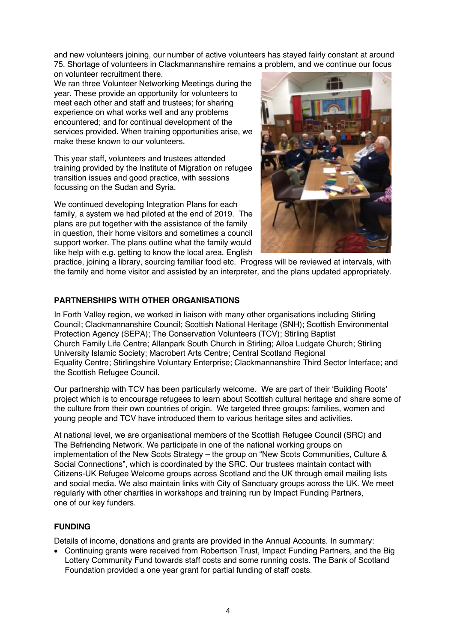and new volunteers joining, our number of active volunteers has stayed fairly constant at around 75. Shortage of volunteers in Clackmannanshire remains a problem, and we continue our focus on volunteer recruitment there.

We ran three Volunteer Networking Meetings during the year. These provide an opportunity for volunteers to meet each other and staff and trustees; for sharing experience on what works well and any problems encountered; and for continual development of the services provided. When training opportunities arise, we make these known to our volunteers.

This year staff, volunteers and trustees attended training provided by the Institute of Migration on refugee transition issues and good practice, with sessions focussing on the Sudan and Syria.

We continued developing Integration Plans for each family, a system we had piloted at the end of 2019. The plans are put together with the assistance of the family in question, their home visitors and sometimes a council support worker. The plans outline what the family would like help with e.g. getting to know the local area, English



practice, joining a library, sourcing familiar food etc. Progress will be reviewed at intervals, with the family and home visitor and assisted by an interpreter, and the plans updated appropriately.

# **PARTNERSHIPS WITH OTHER ORGANISATIONS**

In Forth Valley region, we worked in liaison with many other organisations including Stirling Council; Clackmannanshire Council; Scottish National Heritage (SNH); Scottish Environmental Protection Agency (SEPA); The Conservation Volunteers (TCV); Stirling Baptist Church Family Life Centre; Allanpark South Church in Stirling; Alloa Ludgate Church; Stirling University Islamic Society; Macrobert Arts Centre; Central Scotland Regional Equality Centre; Stirlingshire Voluntary Enterprise; Clackmannanshire Third Sector Interface; and the Scottish Refugee Council.

Our partnership with TCV has been particularly welcome. We are part of their 'Building Roots' project which is to encourage refugees to learn about Scottish cultural heritage and share some of the culture from their own countries of origin. We targeted three groups: families, women and young people and TCV have introduced them to various heritage sites and activities.

At national level, we are organisational members of the Scottish Refugee Council (SRC) and The Befriending Network. We participate in one of the national working groups on implementation of the New Scots Strategy – the group on "New Scots Communities, Culture & Social Connections", which is coordinated by the SRC. Our trustees maintain contact with Citizens-UK Refugee Welcome groups across Scotland and the UK through email mailing lists and social media. We also maintain links with City of Sanctuary groups across the UK. We meet regularly with other charities in workshops and training run by Impact Funding Partners, one of our key funders.

# **FUNDING**

Details of income, donations and grants are provided in the Annual Accounts. In summary:

• Continuing grants were received from Robertson Trust, Impact Funding Partners, and the Big Lottery Community Fund towards staff costs and some running costs. The Bank of Scotland Foundation provided a one year grant for partial funding of staff costs.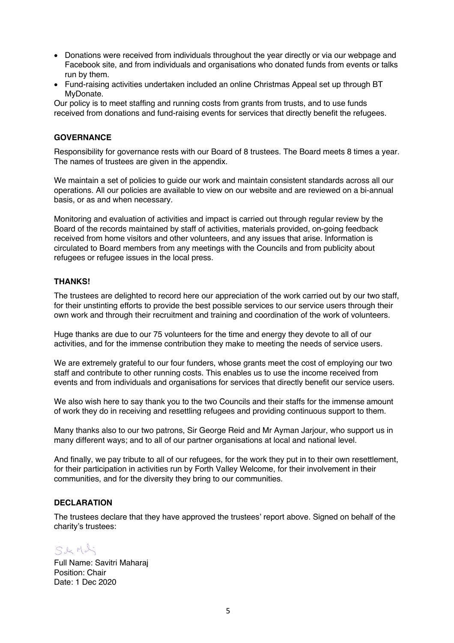- Donations were received from individuals throughout the year directly or via our webpage and Facebook site, and from individuals and organisations who donated funds from events or talks run by them.
- Fund-raising activities undertaken included an online Christmas Appeal set up through BT MyDonate.

Our policy is to meet staffing and running costs from grants from trusts, and to use funds received from donations and fund-raising events for services that directly benefit the refugees.

### **GOVERNANCE**

Responsibility for governance rests with our Board of 8 trustees. The Board meets 8 times a year. The names of trustees are given in the appendix.

We maintain a set of policies to guide our work and maintain consistent standards across all our operations. All our policies are available to view on our website and are reviewed on a bi-annual basis, or as and when necessary.

Monitoring and evaluation of activities and impact is carried out through regular review by the Board of the records maintained by staff of activities, materials provided, on-going feedback received from home visitors and other volunteers, and any issues that arise. Information is circulated to Board members from any meetings with the Councils and from publicity about refugees or refugee issues in the local press.

## **THANKS!**

The trustees are delighted to record here our appreciation of the work carried out by our two staff, for their unstinting efforts to provide the best possible services to our service users through their own work and through their recruitment and training and coordination of the work of volunteers.

Huge thanks are due to our 75 volunteers for the time and energy they devote to all of our activities, and for the immense contribution they make to meeting the needs of service users.

We are extremely grateful to our four funders, whose grants meet the cost of employing our two staff and contribute to other running costs. This enables us to use the income received from events and from individuals and organisations for services that directly benefit our service users.

We also wish here to say thank you to the two Councils and their staffs for the immense amount of work they do in receiving and resettling refugees and providing continuous support to them.

Many thanks also to our two patrons, Sir George Reid and Mr Ayman Jarjour, who support us in many different ways; and to all of our partner organisations at local and national level.

And finally, we pay tribute to all of our refugees, for the work they put in to their own resettlement, for their participation in activities run by Forth Valley Welcome, for their involvement in their communities, and for the diversity they bring to our communities.

### **DECLARATION**

The trustees declare that they have approved the trustees' report above. Signed on behalf of the charity's trustees:

S&Mdi

Full Name: Savitri Maharaj Position: Chair Date: 1 Dec 2020